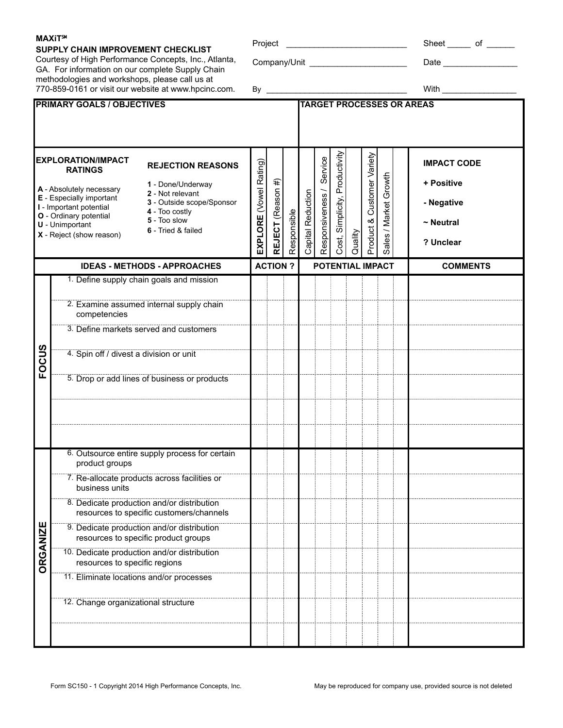### **SUPPLY CHAIN IMPROVEMENT CHECKLIST**

Courtesy of High Performance Concepts, Inc., Atlanta, GA. For information on our complete Supply Chain methodologies and workshops, please call us at 770-859-0161 or visit our website at www.hpcinc.com.

| Project | . | ◡ |
|---------|---|---|
|         |   |   |

Company/Unit \_\_\_\_\_\_\_\_\_\_\_\_\_\_\_\_\_\_\_\_\_ Date \_\_\_\_\_\_\_\_\_\_\_\_\_\_\_\_

\_\_\_\_\_\_\_\_\_\_\_\_\_\_\_\_\_\_\_\_\_\_\_\_\_\_\_\_\_\_\_\_\_\_ By With \_\_\_\_\_\_\_\_\_\_\_\_\_\_\_\_

| Cost, Simplicity, Productivity<br>Service<br><b>EXPLORATION/IMPACT</b><br>EXPLORE (Vowel Rating)<br><b>REJECTION REASONS</b><br><b>RATINGS</b><br>1 - Done/Underway<br>A - Absolutely necessary<br>2 - Not relevant<br>E - Especially important<br>3 - Outside scope/Sponsor<br>I - Important potential                                                                                                                                                                                                  | <b>IMPACT CODE</b><br>+ Positive                                                                            |  |
|----------------------------------------------------------------------------------------------------------------------------------------------------------------------------------------------------------------------------------------------------------------------------------------------------------------------------------------------------------------------------------------------------------------------------------------------------------------------------------------------------------|-------------------------------------------------------------------------------------------------------------|--|
|                                                                                                                                                                                                                                                                                                                                                                                                                                                                                                          |                                                                                                             |  |
| REJECT (Reason #)<br>Responsiveness /<br>Capital Reduction<br>4 - Too costly<br>Responsible<br>O - Ordinary potential<br>5 - Too slow<br><b>U</b> - Unimportant<br>6 - Tried & failed<br>X - Reject (show reason)                                                                                                                                                                                                                                                                                        | Product & Customer Variety<br>Sales / Market Growth<br>- Negative<br>$\sim$ Neutral<br>Quality<br>? Unclear |  |
| <b>ACTION?</b><br>POTENTIAL IMPACT<br><b>IDEAS - METHODS - APPROACHES</b>                                                                                                                                                                                                                                                                                                                                                                                                                                | <b>COMMENTS</b>                                                                                             |  |
| 1. Define supply chain goals and mission<br>2. Examine assumed internal supply chain<br>competencies<br>3. Define markets served and customers<br><b>FOCUS</b><br>4. Spin off / divest a division or unit<br>5. Drop or add lines of business or products                                                                                                                                                                                                                                                |                                                                                                             |  |
| 6. Outsource entire supply process for certain<br>product groups<br>7. Re-allocate products across facilities or<br>business units<br>8. Dedicate production and/or distribution<br>resources to specific customers/channels<br><b>ORGANIZE</b><br>9. Dedicate production and/or distribution<br>resources to specific product groups<br>10. Dedicate production and/or distribution<br>resources to specific regions<br>11. Eliminate locations and/or processes<br>12. Change organizational structure |                                                                                                             |  |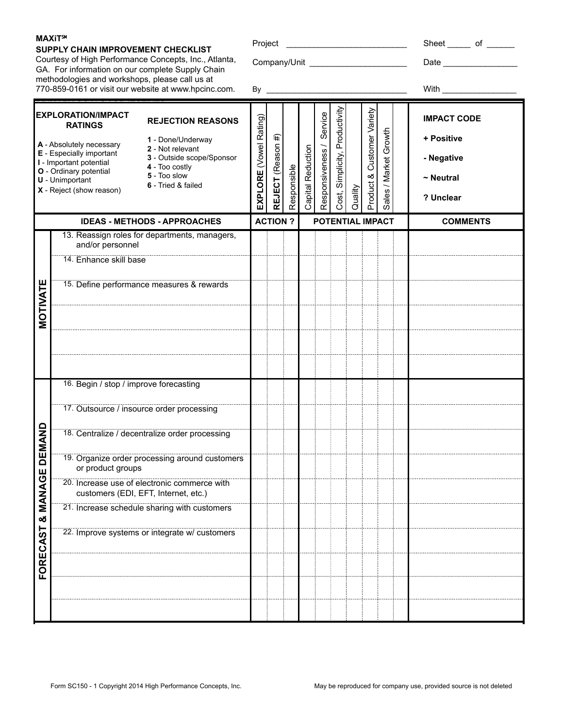**FORECAST & MANAGE DEMAND**

න්

ECAST

FORE

MANAGE

**DEMAND** 

**MOTIVATE**

MOTIVATE

## **SUPPLY CHAIN IMPROVEMENT CHECKLIST**

Courtesy of High Performance Concepts, Inc., Atlanta, GA. For information on our complete Supply Chain methodologies and workshops, please call us at 770-859-0161 or visit our website at www.hpcinc.com.

|  | ı vicul |  |
|--|---------|--|
|  |         |  |
|  |         |  |

Company/Unit \_\_\_\_\_\_\_\_\_\_\_\_\_\_\_\_\_\_\_\_\_ Date \_\_\_\_\_\_\_\_\_\_\_\_\_\_\_\_

| Project | Sheet |  |  |
|---------|-------|--|--|
|         |       |  |  |

 \_\_\_\_\_\_\_\_\_\_\_\_\_\_\_\_\_\_\_\_\_\_\_\_\_\_\_\_\_\_\_\_\_\_ By With \_\_\_\_\_\_\_\_\_\_\_\_\_\_\_\_ **PRIMARY GOALS / OBJECTIVES** Cost, Simplicity, Productivity Cost, Simplicity, Productivity Product & Customer Variety Service Product & Customer Variety Responsiveness / Service **EXPLORATION/IMPACT IMPACT CODE EXPLORE** (Vowel Rating) EXPLORE (Vowel Rating) **REJECTION REASONS RATINGS** Sales / Market Growth Sales / Market Growth #) **+ Positive REJECT** (Reason #) **1** - Done/Underway  **A** - Absolutely necessary Responsiveness / REJECT (Reason Reduction **2** - Not relevant Capital Reduction  **E** - Especially important **3** - Outside scope/Sponsor **- Negative I** - Important potential **4** - Too costly Responsible Responsible  **O** - Ordinary potential **5** - Too slow **~ Neutral U** - Unimportant **6** - Tried & failed Capital I Quality  **X** - Reject (show reason) **? Unclear IDEAS - METHODS - APPROACHES ACTION ? POTENTIAL IMPACT COMMENTS** 13. Reassign roles for departments, managers, and/or personnel 14. Enhance skill base 15. Define performance measures & rewards 16. Begin / stop / improve forecasting 17. Outsource / insource order processing 18. Centralize / decentralize order processing 19. Organize order processing around customers or product groups 20. Increase use of electronic commerce with customers (EDI, EFT, Internet, etc.)

21. Increase schedule sharing with customers

22. Improve systems or integrate w/ customers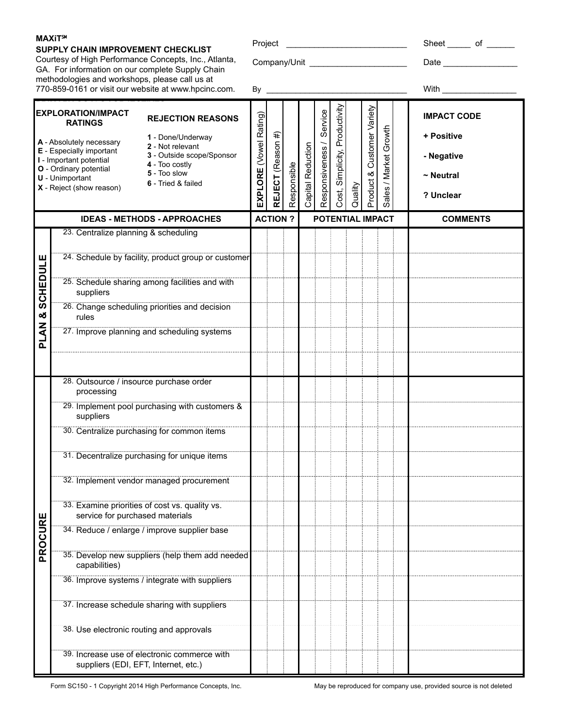## **SUPPLY CHAIN IMPROVEMENT CHECKLIST**

Courtesy of High Performance Concepts, Inc., Atlanta, GA. For information on our complete Supply Chain methodologies and workshops, please call us at 770-859-0161 or visit our website at www.hpcinc.com.

Project \_\_\_\_\_\_\_\_\_\_\_\_\_\_\_\_\_\_\_\_\_\_\_\_\_\_ Sheet \_\_\_\_\_ of \_\_\_\_\_\_

Company/Unit \_\_\_\_\_\_\_\_\_\_\_\_\_\_\_\_\_\_\_\_\_ Date \_\_\_\_\_\_\_\_\_\_\_\_\_\_\_\_

| - | <b>MARIEL</b><br>. |  |
|---|--------------------|--|
|   |                    |  |

|                 | <b>EXPLORATION/IMPACT</b><br><b>REJECTION REASONS</b><br><b>RATINGS</b>                              |                        |                   |             |                   | Service          | Productivity      |         | Customer Variety |                       | <b>IMPACT CODE</b> |
|-----------------|------------------------------------------------------------------------------------------------------|------------------------|-------------------|-------------|-------------------|------------------|-------------------|---------|------------------|-----------------------|--------------------|
|                 | 1 - Done/Underway<br>A - Absolutely necessary                                                        |                        |                   |             |                   |                  |                   |         |                  |                       | + Positive         |
|                 | 2 - Not relevant<br>E - Especially important<br>3 - Outside scope/Sponsor<br>I - Important potential |                        |                   |             |                   |                  |                   |         |                  |                       | - Negative         |
|                 | 4 - Too costly<br>O - Ordinary potential<br>5 - Too slow<br><b>U</b> - Unimportant                   |                        |                   |             |                   |                  |                   |         |                  |                       | $\sim$ Neutral     |
|                 | 6 - Tried & failed<br>X - Reject (show reason)                                                       | EXPLORE (Vowel Rating) | REJECT (Reason #) | Responsible | Capital Reduction | Responsiveness / | Cost, Simplicity, | Quality | Product &        | Sales / Market Growth | ? Unclear          |
|                 | <b>IDEAS - METHODS - APPROACHES</b>                                                                  |                        | <b>ACTION?</b>    |             |                   |                  | POTENTIAL IMPACT  |         |                  |                       | <b>COMMENTS</b>    |
|                 | 23. Centralize planning & scheduling                                                                 |                        |                   |             |                   |                  |                   |         |                  |                       |                    |
|                 | 24. Schedule by facility, product group or customer                                                  |                        |                   |             |                   |                  |                   |         |                  |                       |                    |
| <b>SCHEDULE</b> | 25. Schedule sharing among facilities and with<br>suppliers                                          |                        |                   |             |                   |                  |                   |         |                  |                       |                    |
| න්              | 26. Change scheduling priorities and decision<br>rules                                               |                        |                   |             |                   |                  |                   |         |                  |                       |                    |
| <b>PLAN</b>     | 27. Improve planning and scheduling systems                                                          |                        |                   |             |                   |                  |                   |         |                  |                       |                    |
|                 | 28. Outsource / insource purchase order                                                              |                        |                   |             |                   |                  |                   |         |                  |                       |                    |
|                 | processing                                                                                           |                        |                   |             |                   |                  |                   |         |                  |                       |                    |
|                 | 29. Implement pool purchasing with customers &<br>suppliers                                          |                        |                   |             |                   |                  |                   |         |                  |                       |                    |
|                 | 30. Centralize purchasing for common items                                                           |                        |                   |             |                   |                  |                   |         |                  |                       |                    |
|                 | 31. Decentralize purchasing for unique items                                                         |                        |                   |             |                   |                  |                   |         |                  |                       |                    |
|                 | 32. Implement vendor managed procurement                                                             |                        |                   |             |                   |                  |                   |         |                  |                       |                    |
|                 | 33. Examine priorities of cost vs. quality vs.<br>service for purchased materials                    |                        |                   |             |                   |                  |                   |         |                  |                       |                    |
| PROCURE         | 34. Reduce / enlarge / improve supplier base                                                         |                        |                   |             |                   |                  |                   |         |                  |                       |                    |
|                 | 35. Develop new suppliers (help them add needed<br>capabilities)                                     |                        |                   |             |                   |                  |                   |         |                  |                       |                    |
|                 | 36. Improve systems / integrate with suppliers                                                       |                        |                   |             |                   |                  |                   |         |                  |                       |                    |
|                 | 37. Increase schedule sharing with suppliers                                                         |                        |                   |             |                   |                  |                   |         |                  |                       |                    |
|                 | 38. Use electronic routing and approvals                                                             |                        |                   |             |                   |                  |                   |         |                  |                       |                    |
|                 | 39. Increase use of electronic commerce with<br>suppliers (EDI, EFT, Internet, etc.)                 |                        |                   |             |                   |                  |                   |         |                  |                       |                    |

Form SC150 - 1 Copyright 2014 High Performance Concepts, Inc. May be reproduced for company use, provided source is not deleted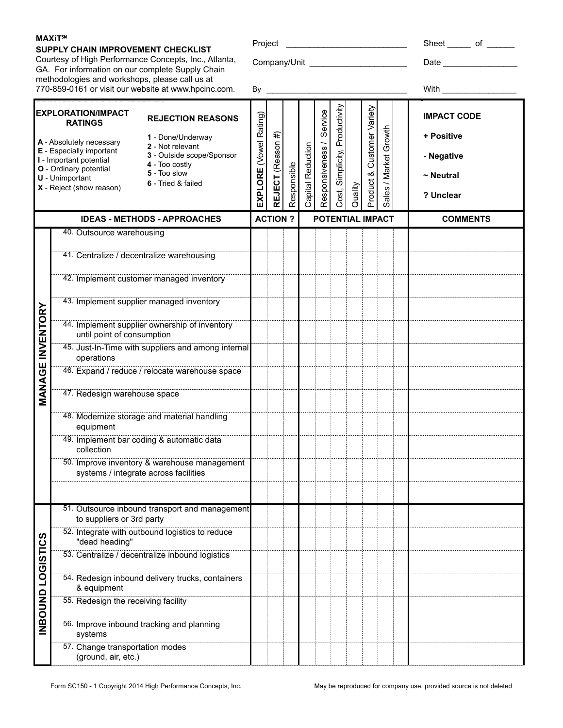## **SUPPLY CHAIN IMPROVEMENT CHECKLIST**

Courtesy of High Performance Concepts, Inc., Atlanta, GA. For information on our complete Supply Chain methodologies and workshops, please call us at 770-859-0161 or visit our website at www.hpcinc.com.

Project \_\_\_\_\_\_\_\_\_\_\_\_\_\_\_\_\_\_\_\_\_\_\_\_\_\_ Sheet \_\_\_\_\_ of \_\_\_\_\_\_

Company/Unit \_\_\_\_\_\_\_\_\_\_\_\_\_\_\_\_\_\_\_\_\_ Date \_\_\_\_\_\_\_\_\_\_\_\_\_\_\_\_

|                     | 770-859-0161 or visit our website at www.hpcinc.com.                                                                                                                                                                                                                                                                                                                     | By                     |                   |             |                   |                             |                                   |         |                            |                       | With                                                                          |
|---------------------|--------------------------------------------------------------------------------------------------------------------------------------------------------------------------------------------------------------------------------------------------------------------------------------------------------------------------------------------------------------------------|------------------------|-------------------|-------------|-------------------|-----------------------------|-----------------------------------|---------|----------------------------|-----------------------|-------------------------------------------------------------------------------|
|                     | <b>EXPLORATION/IMPACT</b><br><b>REJECTION REASONS</b><br><b>RATINGS</b><br>1 - Done/Underway<br>A - Absolutely necessary<br>2 - Not relevant<br>E - Especially important<br>3 - Outside scope/Sponsor<br>I - Important potential<br>4 - Too costly<br>O - Ordinary potential<br>5 - Too slow<br><b>U</b> - Unimportant<br>6 - Tried & failed<br>X - Reject (show reason) | EXPLORE (Vowel Rating) | REJECT (Reason #) | Responsible | Capital Reduction | Service<br>Responsiveness / | Productivity<br>Cost, Simplicity, | Quality | Product & Customer Variety | Sales / Market Growth | <b>IMPACT CODE</b><br>+ Positive<br>- Negative<br>$\sim$ Neutral<br>? Unclear |
|                     | <b>IDEAS - METHODS - APPROACHES</b>                                                                                                                                                                                                                                                                                                                                      |                        | <b>ACTION?</b>    |             |                   |                             |                                   |         |                            | POTENTIAL IMPACT      | <b>COMMENTS</b>                                                               |
|                     | 40. Outsource warehousing                                                                                                                                                                                                                                                                                                                                                |                        |                   |             |                   |                             |                                   |         |                            |                       |                                                                               |
|                     | 41. Centralize / decentralize warehousing                                                                                                                                                                                                                                                                                                                                |                        |                   |             |                   |                             |                                   |         |                            |                       |                                                                               |
| INVENTORY<br>MANAGE | 42. Implement customer managed inventory                                                                                                                                                                                                                                                                                                                                 |                        |                   |             |                   |                             |                                   |         |                            |                       |                                                                               |
|                     | 43. Implement supplier managed inventory                                                                                                                                                                                                                                                                                                                                 |                        |                   |             |                   |                             |                                   |         |                            |                       |                                                                               |
|                     | 44. Implement supplier ownership of inventory<br>until point of consumption                                                                                                                                                                                                                                                                                              |                        |                   |             |                   |                             |                                   |         |                            |                       |                                                                               |
|                     | 45. Just-In-Time with suppliers and among internal<br>operations                                                                                                                                                                                                                                                                                                         |                        |                   |             |                   |                             |                                   |         |                            |                       |                                                                               |
|                     | 46. Expand / reduce / relocate warehouse space                                                                                                                                                                                                                                                                                                                           |                        |                   |             |                   |                             |                                   |         |                            |                       |                                                                               |
|                     | 47. Redesign warehouse space                                                                                                                                                                                                                                                                                                                                             |                        |                   |             |                   |                             |                                   |         |                            |                       |                                                                               |
|                     | 48. Modernize storage and material handling<br>equipment                                                                                                                                                                                                                                                                                                                 |                        |                   |             |                   |                             |                                   |         |                            |                       |                                                                               |
|                     | 49. Implement bar coding & automatic data<br>collection                                                                                                                                                                                                                                                                                                                  |                        |                   |             |                   |                             |                                   |         |                            |                       |                                                                               |
|                     | 50. Improve inventory & warehouse management<br>systems / integrate across facilities                                                                                                                                                                                                                                                                                    |                        |                   |             |                   |                             |                                   |         |                            |                       |                                                                               |
|                     |                                                                                                                                                                                                                                                                                                                                                                          |                        |                   |             |                   |                             |                                   |         |                            |                       |                                                                               |
|                     | 51. Outsource inbound transport and management<br>to suppliers or 3rd party                                                                                                                                                                                                                                                                                              |                        |                   |             |                   |                             |                                   |         |                            |                       |                                                                               |
|                     | 52. Integrate with outbound logistics to reduce<br>"dead heading"                                                                                                                                                                                                                                                                                                        |                        |                   |             |                   |                             |                                   |         |                            |                       |                                                                               |
|                     | 53. Centralize / decentralize inbound logistics                                                                                                                                                                                                                                                                                                                          |                        |                   |             |                   |                             |                                   |         |                            |                       |                                                                               |
| INBOUND LOGISTICS   | 54. Redesign inbound delivery trucks, containers<br>& equipment                                                                                                                                                                                                                                                                                                          |                        |                   |             |                   |                             |                                   |         |                            |                       |                                                                               |
|                     | 55. Redesign the receiving facility                                                                                                                                                                                                                                                                                                                                      |                        |                   |             |                   |                             |                                   |         |                            |                       |                                                                               |
|                     | 56. Improve inbound tracking and planning<br>systems                                                                                                                                                                                                                                                                                                                     |                        |                   |             |                   |                             |                                   |         |                            |                       |                                                                               |
|                     | 57. Change transportation modes<br>(ground, air, etc.)                                                                                                                                                                                                                                                                                                                   |                        |                   |             |                   |                             |                                   |         |                            |                       |                                                                               |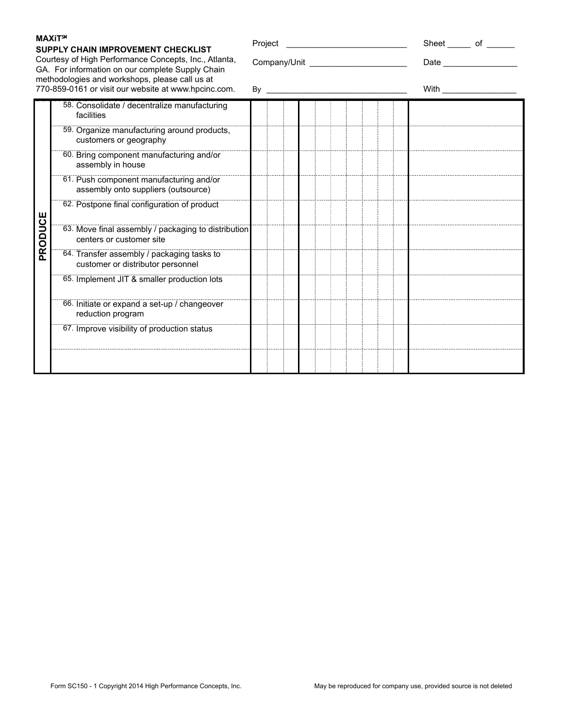#### **SUPPLY CHAIN IMPROVEMENT CHECKLIST**

Courtesy of High Performance Concepts, Inc., Atlanta, GA. For information on our complete Supply Chain methodologies and workshops, please call us at 770-859-0161 or visit our website at www.hpcinc.com.

**PRIMA 58.** Consolidate / decentralize manufacturing

| Project |                                      |  |  | Sheet of            |  |
|---------|--------------------------------------|--|--|---------------------|--|
|         | Company/Unit _______________________ |  |  | Date ______________ |  |
| Bv      |                                      |  |  | With                |  |
|         |                                      |  |  |                     |  |
|         |                                      |  |  |                     |  |

|         | facilities                                                                      |  |  |  |  |
|---------|---------------------------------------------------------------------------------|--|--|--|--|
| PRODUCE | 59. Organize manufacturing around products,<br>customers or geography           |  |  |  |  |
|         | 60. Bring component manufacturing and/or<br>assembly in house                   |  |  |  |  |
|         | 61. Push component manufacturing and/or<br>assembly onto suppliers (outsource)  |  |  |  |  |
|         | 62. Postpone final configuration of product                                     |  |  |  |  |
|         | 63. Move final assembly / packaging to distribution<br>centers or customer site |  |  |  |  |
|         | 64. Transfer assembly / packaging tasks to<br>customer or distributor personnel |  |  |  |  |
|         | 65. Implement JIT & smaller production lots                                     |  |  |  |  |
|         | 66. Initiate or expand a set-up / changeover<br>reduction program               |  |  |  |  |
|         | 67. Improve visibility of production status                                     |  |  |  |  |
|         |                                                                                 |  |  |  |  |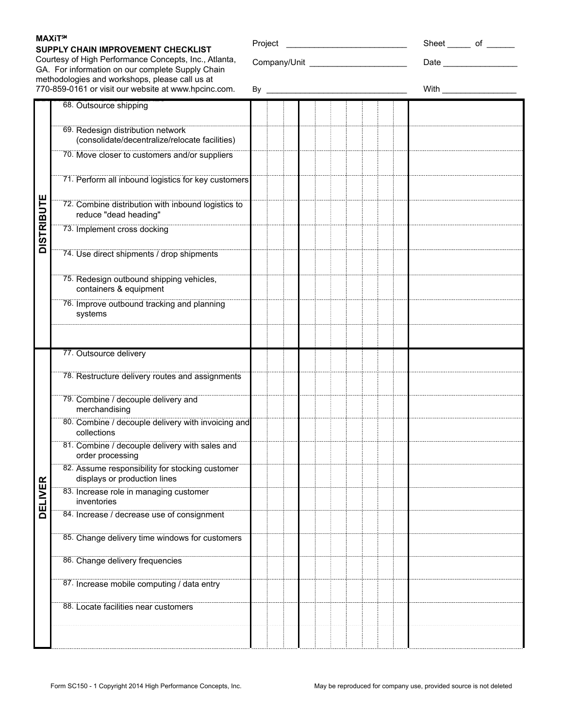### **SUPPLY CHAIN IMPROVEMENT CHECKLIST**

**PRIMA BRIMARY 68. Outsource shipping** 

Courtesy of High Performance Concepts, Inc., Atlanta, GA. For information on our complete Supply Chain methodologies and workshops, please call us at 770-859-0161 or visit our website at www.hpcinc.com.

| By |  |         |  |  |  |  |  |  | With |  |                        |
|----|--|---------|--|--|--|--|--|--|------|--|------------------------|
|    |  |         |  |  |  |  |  |  |      |  |                        |
|    |  |         |  |  |  |  |  |  |      |  |                        |
|    |  |         |  |  |  |  |  |  |      |  |                        |
|    |  | Project |  |  |  |  |  |  |      |  | Sheet ______ of ______ |

|                   | 69. Redesign distribution network<br>(consolidate/decentralize/relocate facilities) |  |
|-------------------|-------------------------------------------------------------------------------------|--|
|                   | 70. Move closer to customers and/or suppliers                                       |  |
|                   | 71. Perform all inbound logistics for key customers                                 |  |
| <b>DISTRIBUTE</b> | 72. Combine distribution with inbound logistics to<br>reduce "dead heading"         |  |
|                   | 73. Implement cross docking                                                         |  |
|                   | 74. Use direct shipments / drop shipments                                           |  |
|                   | 75. Redesign outbound shipping vehicles,<br>containers & equipment                  |  |
|                   | 76. Improve outbound tracking and planning<br>systems                               |  |
|                   |                                                                                     |  |
|                   | 77. Outsource delivery                                                              |  |
|                   | 78. Restructure delivery routes and assignments                                     |  |
|                   | 79. Combine / decouple delivery and<br>merchandising                                |  |
|                   | 80. Combine / decouple delivery with invoicing and<br>collections                   |  |
|                   | 81. Combine / decouple delivery with sales and<br>order processing                  |  |
|                   | 82. Assume responsibility for stocking customer<br>displays or production lines     |  |
| <b>DELIVER</b>    | 83. Increase role in managing customer<br>inventories                               |  |
|                   | 84. Increase / decrease use of consignment                                          |  |
|                   | 85. Change delivery time windows for customers                                      |  |
|                   | 86. Change delivery frequencies                                                     |  |
|                   | 87. Increase mobile computing / data entry                                          |  |
|                   | 88. Locate facilities near customers                                                |  |
|                   |                                                                                     |  |
|                   |                                                                                     |  |